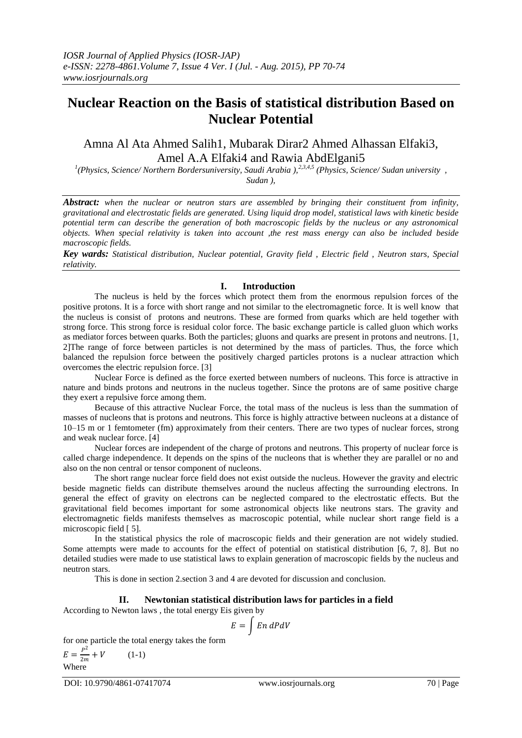# **Nuclear Reaction on the Basis of statistical distribution Based on Nuclear Potential**

# Amna Al Ata Ahmed Salih1, Mubarak Dirar2 Ahmed Alhassan Elfaki3, Amel A.A Elfaki4 and Rawia AbdElgani5

*1 (Physics, Science/ Northern Bordersuniversity, Saudi Arabia ),2,3,4,5 (Physics, Science/ Sudan university , Sudan ),*

*Abstract: when the nuclear or neutron stars are assembled by bringing their constituent from infinity, gravitational and electrostatic fields are generated. Using liquid drop model, statistical laws with kinetic beside potential term can describe the generation of both macroscopic fields by the nucleus or any astronomical objects. When special relativity is taken into account ,the rest mass energy can also be included beside macroscopic fields.*

*Key wards: Statistical distribution, Nuclear potential, Gravity field , Electric field , Neutron stars, Special relativity.*

## **I. Introduction**

The nucleus is held by the forces which protect them from the enormous repulsion forces of the positive protons. It is a force with short range and not similar to the electromagnetic force. It is well know that the nucleus is consist of protons and neutrons. These are formed from quarks which are held together with strong force. This strong force is residual color force. The basic exchange particle is called gluon which works as mediator forces between quarks. Both the particles; gluons and quarks are present in protons and neutrons. [1, 2]The range of force between particles is not determined by the mass of particles. Thus, the force which balanced the repulsion force between the positively charged particles protons is a nuclear attraction which overcomes the electric repulsion force. [3]

Nuclear Force is defined as the force exerted between numbers of nucleons. This force is attractive in nature and binds protons and neutrons in the nucleus together. Since the protons are of same positive charge they exert a repulsive force among them.

Because of this attractive Nuclear Force, the total mass of the nucleus is less than the summation of masses of nucleons that is protons and neutrons. This force is highly attractive between nucleons at a distance of 10–15 m or 1 femtometer (fm) approximately from their centers. There are two types of nuclear forces, strong and weak nuclear force. [4]

Nuclear forces are independent of the charge of protons and neutrons. This property of nuclear force is called charge independence. It depends on the spins of the nucleons that is whether they are parallel or no and also on the non central or tensor component of nucleons.

The short range nuclear force field does not exist outside the nucleus. However the gravity and electric beside magnetic fields can distribute themselves around the nucleus affecting the surrounding electrons. In general the effect of gravity on electrons can be neglected compared to the electrostatic effects. But the gravitational field becomes important for some astronomical objects like neutrons stars. The gravity and electromagnetic fields manifests themselves as macroscopic potential, while nuclear short range field is a microscopic field [ 5].

In the statistical physics the role of macroscopic fields and their generation are not widely studied. Some attempts were made to accounts for the effect of potential on statistical distribution [6, 7, 8]. But no detailed studies were made to use statistical laws to explain generation of macroscopic fields by the nucleus and neutron stars.

This is done in section 2.section 3 and 4 are devoted for discussion and conclusion.

#### **II. Newtonian statistical distribution laws for particles in a field**

According to Newton laws , the total energy Eis given by

$$
E = \int E n \, dP dV
$$

for one particle the total energy takes the form

$$
E = \frac{P^2}{2m} + V \qquad (1-1)
$$
  
Where

DOI: 10.9790/4861-07417074 www.iosrjournals.org 70 | Page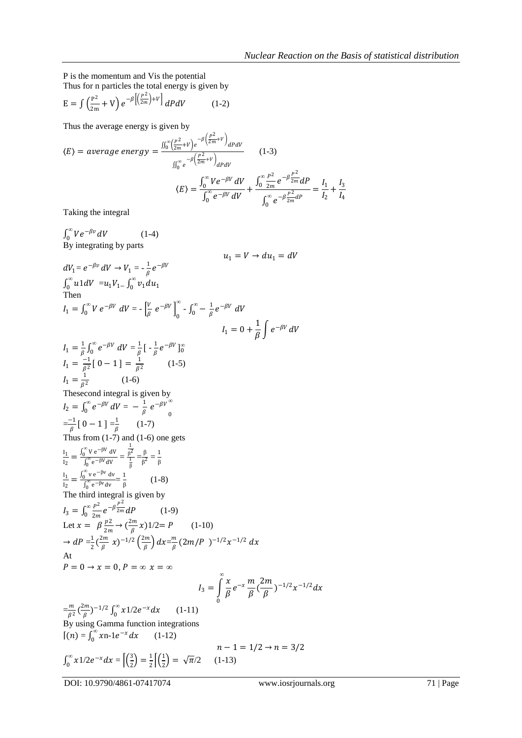P is the momentum and Vis the potential Thus for n particles the total energy is given by

$$
E = \int \left(\frac{P^2}{2m} + V\right) e^{-\beta} \left[\left(\frac{P^2}{2m}\right) + V\right] dP dV \tag{1-2}
$$

Thus the average energy is given by

$$
\langle E \rangle = average\ energy = \frac{\int_{0}^{\infty} \left(\frac{P^{2}}{2m} + V\right) e^{-\beta \left(\frac{P^{2}}{2m} + V\right)} dP dV}{\int_{0}^{\infty} e^{-\beta \left(\frac{P^{2}}{2m} + V\right)} dP dV}
$$
\n
$$
\langle E \rangle = \frac{\int_{0}^{\infty} V e^{-\beta V} dV}{\int_{0}^{\infty} e^{-\beta V} dV} + \frac{\int_{0}^{\infty} \frac{P^{2}}{2m} e^{-\beta \frac{P^{2}}{2m}} dP}{\int_{0}^{\infty} e^{-\beta \frac{P^{2}}{2m} dP}} = \frac{I_{1}}{I_{2}} + \frac{I_{3}}{I_{4}}
$$

Taking the integral

$$
\int_{0}^{\infty} V e^{-\beta v} dV \qquad (1-4)
$$
  
\nBy integrating by parts  
\n
$$
dV_{1} = e^{-\beta v} dV \rightarrow V_{1} = -\frac{1}{\beta} e^{-\beta V}
$$
\n
$$
dV_{1} = V \rightarrow du_{1} = dV
$$
\n
$$
\int_{0}^{\infty} u1 dV = u_{1} V_{1} - \int_{0}^{\infty} v_{1} du_{1}
$$
\nThen  
\n
$$
I_{1} = \int_{0}^{\infty} V e^{-\beta V} dV = -\left[\frac{V}{\beta} e^{-\beta V}\right]_{0}^{\infty} - \int_{0}^{\infty} -\frac{1}{\beta} e^{-\beta V} dV
$$
\n
$$
I_{1} = 0 + \frac{1}{\beta} \int_{0}^{\infty} e^{-\beta V} dV = \frac{1}{\beta} \left[ -\frac{1}{\beta} e^{-\beta V} \right]_{0}^{\infty}
$$
\n
$$
I_{1} = \frac{1}{\beta} \int_{0}^{\infty} e^{-\beta V} dV = \frac{1}{\beta} \left[ -\frac{1}{\beta} e^{-\beta V} \right]_{0}^{\infty}
$$
\n
$$
I_{1} = \frac{1}{\beta} \int_{0}^{\infty} e^{-\beta V} dV = -\frac{1}{\beta} \left[ -\frac{1}{\beta} e^{-\beta V} \right]_{0}^{\infty}
$$
\n
$$
I_{2} = \int_{0}^{\infty} e^{-\beta V} dV = -\frac{1}{\beta} e^{-\beta V}
$$
\n
$$
I_{2} = \int_{0}^{\infty} e^{-\beta V} dV = -\frac{1}{\beta} e^{-\beta V}
$$
\n
$$
I_{2} = \int_{0}^{\infty} e^{-\beta V} dV = \frac{1}{\beta} \left[ -\frac{1}{\beta} e^{-\beta V} \right]_{0}^{\infty}
$$
\n
$$
I_{3} = \int_{0}^{\infty} \frac{v_{2} e^{-\beta V}}{v_{1} e^{-\beta V} dV} = \frac{1}{\beta} \left[ -\frac{1}{\beta} e^{-\beta V} \right]_{0}^{\infty}
$$
\n
$$
I_{2} = \int
$$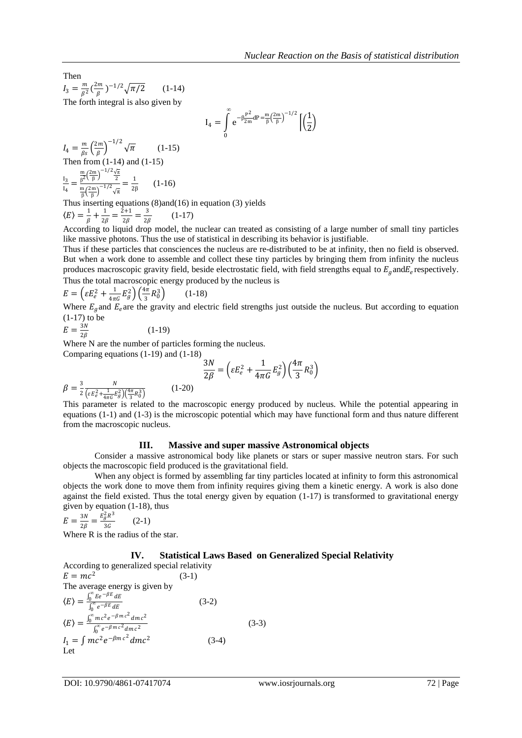Then  $I_3 = \frac{m}{\beta^2}$  $\frac{m}{\beta^2}$   $\left(\frac{2m}{\beta}\right)$  $\frac{2m}{\beta}$ )<sup>-1/2</sup> $\sqrt{\pi/2}$  (1-14) The forth integral is also given by

$$
I_4=\int\limits_0^\infty e^{-\beta\frac{P^2}{2m}dP\frac{m}{\beta}\left(\frac{2m}{\beta}\right)^{-1/2}}\left[\left(\frac{1}{2}\right)
$$

$$
I_4 = \frac{m}{\beta s} \left(\frac{2m}{\beta}\right)^{-1/2} \sqrt{\pi}
$$
 (1-15)  
Then from (1-14) and (1-15)  

$$
\frac{I_3}{I_4} = \frac{\frac{m}{\beta} \left(\frac{2m}{\beta}\right)^{-1/2} \frac{\sqrt{\pi}}{2}}{\frac{m}{\beta} \left(\frac{2m}{\beta}\right)^{-1/2} \sqrt{\pi}} = \frac{1}{2\beta}
$$
 (1-16)

Thus inserting equations (8)and(16) in equation (3) yields<br> $\binom{1}{k}$ ,  $\frac{1}{k}$ ,  $\frac{1}{k}$ ,  $\frac{1}{k}$ ,  $\frac{2+1}{3}$ ,  $\frac{3}{k}$ ,  $\frac{1}{k}$ 

$$
\langle E \rangle = \frac{1}{\beta} + \frac{1}{2\beta} = \frac{2+1}{2\beta} = \frac{3}{2\beta} \qquad (1-17)
$$

According to liquid drop model, the nuclear can treated as consisting of a large number of small tiny particles like massive photons. Thus the use of statistical in describing its behavior is justifiable.

Thus if these particles that consciences the nucleus are re-distributed to be at infinity, then no field is observed. But when a work done to assemble and collect these tiny particles by bringing them from infinity the nucleus produces macroscopic gravity field, beside electrostatic field, with field strengths equal to  $E<sub>g</sub>$  and  $E<sub>e</sub>$  respectively. Thus the total macroscopic energy produced by the nucleus is

$$
E = \left(\varepsilon E_e^2 + \frac{1}{4\pi G} E_g^2\right) \left(\frac{4\pi}{3} R_0^3\right)
$$
 (1-18)

Where  $E_g$  and  $E_e$  are the gravity and electric field strengths just outside the nucleus. But according to equation (1-17) to be

$$
E = \frac{3N}{2\beta} \tag{1-19}
$$

Where N are the number of particles forming the nucleus. Comparing equations (1-19) and (1-18)

$$
\frac{3N}{2\beta} = \left(\varepsilon E_e^2 + \frac{1}{4\pi G} E_g^2\right) \left(\frac{4\pi}{3} R_0^3\right)
$$

 $\beta = \frac{3}{2}$ 2 N  $\left(\varepsilon E_e^2+\frac{1}{4\pi G}E_g^2\right)\left(\frac{4\pi}{3}R_0^3\right)$ (1-20)

This parameter is related to the macroscopic energy produced by nucleus. While the potential appearing in equations (1-1) and (1-3) is the microscopic potential which may have functional form and thus nature different from the macroscopic nucleus.

### **III. Massive and super massive Astronomical objects**

Consider a massive astronomical body like planets or stars or super massive neutron stars. For such objects the macroscopic field produced is the gravitational field.

When any object is formed by assembling far tiny particles located at infinity to form this astronomical objects the work done to move them from infinity requires giving them a kinetic energy. A work is also done against the field existed. Thus the total energy given by equation (1-17) is transformed to gravitational energy given by equation (1-18), thus

$$
E = \frac{3N}{2\beta} = \frac{E_g^2 R^3}{3G}
$$
 (2-1)

Where R is the radius of the star.

#### **IV. Statistical Laws Based on Generalized Special Relativity**

According to generalized special relativity  $E = mc^2$  (3-1) The average energy is given by  $\langle E \rangle = \frac{\int_0^{\infty} E e^{-\beta E} dE}{\int_0^{\infty} e^{-\beta E} dE}$  (3-2)  $\langle E \rangle = \frac{\int_0^{\infty} mc^2 e^{-\beta mc^2} dm c^2}{\int_0^{\infty} e^{-\beta mc^2} dm c^2}$  (3-3)  $I_1 = \int mc^2 e^{-\beta mc^2} dm c^2$  (3-4) Let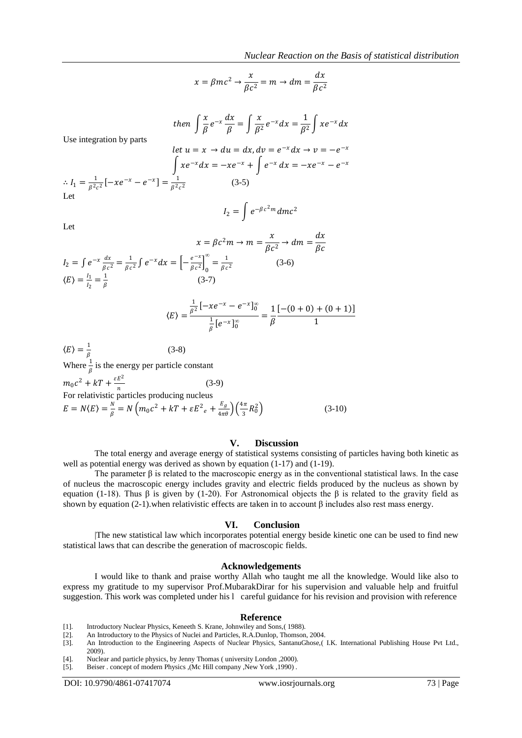$$
x = \beta mc^2 \to \frac{x}{\beta c^2} = m \to dm = \frac{dx}{\beta c^2}
$$

then 
$$
\int \frac{x}{\beta} e^{-x} \frac{dx}{\beta} = \int \frac{x}{\beta^2} e^{-x} dx = \frac{1}{\beta^2} \int x e^{-x} dx
$$

Use integration by parts

$$
let \ u = x \to du = dx, dv = e^{-x} dx \to v = -e^{-x}
$$

$$
\int xe^{-x} dx = -xe^{-x} + \int e^{-x} dx = -xe^{-x} - e^{-x}
$$

$$
\therefore I_1 = \frac{1}{\beta^2 c^2} [-xe^{-x} - e^{-x}] = \frac{1}{\beta^2 c^2}
$$
(3-5)

$$
I_2=\int e^{-\beta c^2 m} dmc^2
$$

 $\mathcal{X}$ 

 $dx$ 

Let

$$
x = \beta c^2 m \to m = \frac{x}{\beta c^2} \to dm = \frac{ax}{\beta c}
$$
  
\n
$$
I_2 = \int e^{-x} \frac{dx}{\beta c^2} = \frac{1}{\beta c^2} \int e^{-x} dx = \left[ -\frac{e^{-x}}{\beta c^2} \right]_0^{\infty} = \frac{1}{\beta c^2}
$$
 (3-6)  
\n
$$
\langle E \rangle = \frac{\frac{1}{\beta^2} \left[ -xe^{-x} - e^{-x} \right]_0^{\infty}}{\frac{1}{\beta} \left[ e^{-x} \right]_0^{\infty}} = \frac{1}{\beta} \frac{\left[ -(0+0) + (0+1) \right]}{1}
$$

$$
\langle E \rangle = \frac{1}{\beta}
$$
 (3-8)  
When  $\frac{1}{2}$  is the energy per particle const.

Where  $\frac{1}{\beta}$  is the energy per particle constant  $m_0c^2 + kT + \frac{\varepsilon E^2}{r}$  $(3-9)$ 

For relativistic particles producing nucleus  
\n
$$
E = N\langle E \rangle = \frac{N}{\beta} = N \left( m_0 c^2 + kT + \varepsilon E^2 e + \frac{E_g}{4\pi \theta} \right) \left( \frac{4\pi}{3} R_0^2 \right)
$$
\n(3-10)

#### **V. Discussion**

The total energy and average energy of statistical systems consisting of particles having both kinetic as well as potential energy was derived as shown by equation (1-17) and (1-19).

The parameter  $\beta$  is related to the macroscopic energy as in the conventional statistical laws. In the case of nucleus the macroscopic energy includes gravity and electric fields produced by the nucleus as shown by equation (1-18). Thus β is given by (1-20). For Astronomical objects the β is related to the gravity field as shown by equation (2-1).when relativistic effects are taken in to account  $\beta$  includes also rest mass energy.

#### **VI. Conclusion**

|The new statistical law which incorporates potential energy beside kinetic one can be used to find new statistical laws that can describe the generation of macroscopic fields.

#### **Acknowledgements**

I would like to thank and praise worthy Allah who taught me all the knowledge. Would like also to express my gratitude to my supervisor Prof.MubarakDirar for his supervision and valuable help and fruitful suggestion. This work was completed under his l careful guidance for his revision and provision with reference

#### **Reference**

- 
- [1]. Introductory Nuclear Physics, Keneeth S. Krane, Johnwiley and Sons,( 1988). An Introductory to the Physics of Nuclei and Particles, R.A.Dunlop, Thomson, 2004.
- An Introduction to the Engineering Aspects of Nuclear Physics, SantanuGhose,( I.K. International Publishing House Pvt Ltd., 2009).
- 
- [4]. Nuclear and particle physics, by Jenny Thomas ( university London , 2000).<br>[5]. Beiser . concept of modern Physics . (Mc Hill company .New York , 1990). [5]. Beiser . concept of modern Physics ,(Mc Hill company ,New York ,1990) .